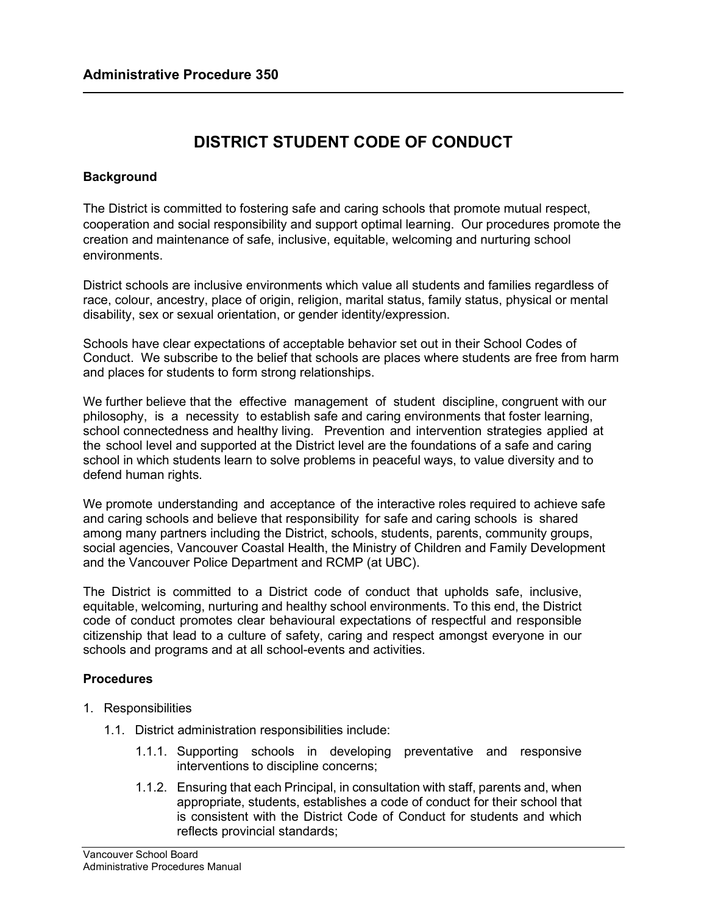# **DISTRICT STUDENT CODE OF CONDUCT**

## **Background**

The District is committed to fostering safe and caring schools that promote mutual respect, cooperation and social responsibility and support optimal learning. Our procedures promote the creation and maintenance of safe, inclusive, equitable, welcoming and nurturing school environments.

District schools are inclusive environments which value all students and families regardless of race, colour, ancestry, place of origin, religion, marital status, family status, physical or mental disability, sex or sexual orientation, or gender identity/expression.

Schools have clear expectations of acceptable behavior set out in their School Codes of Conduct. We subscribe to the belief that schools are places where students are free from harm and places for students to form strong relationships.

We further believe that the effective management of student discipline, congruent with our philosophy, is a necessity to establish safe and caring environments that foster learning, school connectedness and healthy living. Prevention and intervention strategies applied at the school level and supported at the District level are the foundations of a safe and caring school in which students learn to solve problems in peaceful ways, to value diversity and to defend human rights.

We promote understanding and acceptance of the interactive roles required to achieve safe and caring schools and believe that responsibility for safe and caring schools is shared among many partners including the District, schools, students, parents, community groups, social agencies, Vancouver Coastal Health, the Ministry of Children and Family Development and the Vancouver Police Department and RCMP (at UBC).

The District is committed to a District code of conduct that upholds safe, inclusive, equitable, welcoming, nurturing and healthy school environments. To this end, the District code of conduct promotes clear behavioural expectations of respectful and responsible citizenship that lead to a culture of safety, caring and respect amongst everyone in our schools and programs and at all school-events and activities.

## **Procedures**

- 1. Responsibilities
	- 1.1. District administration responsibilities include:
		- 1.1.1. Supporting schools in developing preventative and responsive interventions to discipline concerns;
		- 1.1.2. Ensuring that each Principal, in consultation with staff, parents and, when appropriate, students, establishes a code of conduct for their school that is consistent with the District Code of Conduct for students and which reflects provincial standards;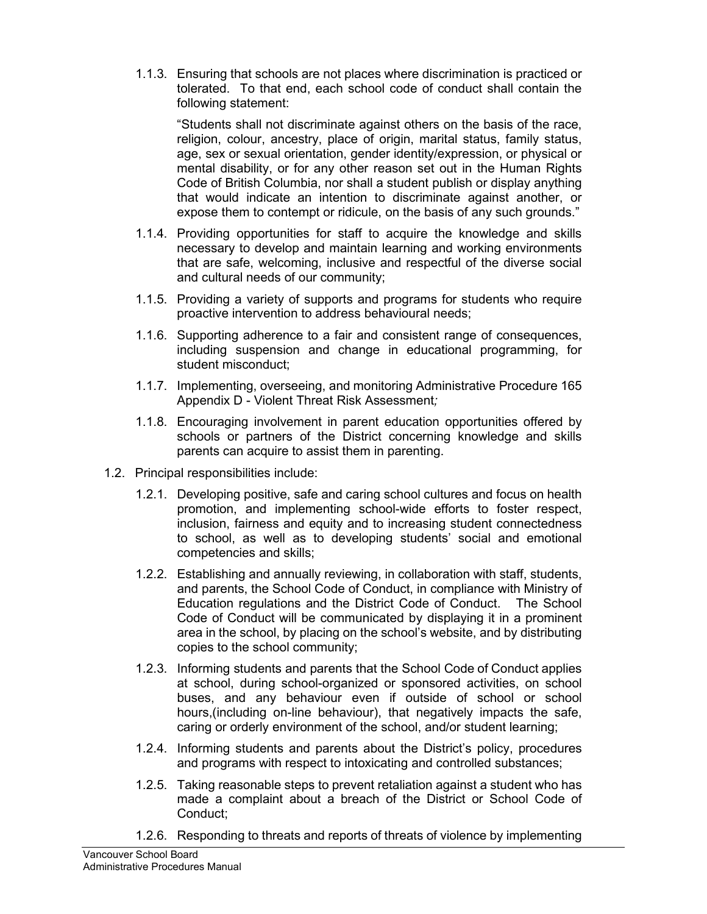1.1.3. Ensuring that schools are not places where discrimination is practiced or tolerated. To that end, each school code of conduct shall contain the following statement:

"Students shall not discriminate against others on the basis of the race, religion, colour, ancestry, place of origin, marital status, family status, age, sex or sexual orientation, gender identity/expression, or physical or mental disability, or for any other reason set out in the Human Rights Code of British Columbia, nor shall a student publish or display anything that would indicate an intention to discriminate against another, or expose them to contempt or ridicule, on the basis of any such grounds."

- 1.1.4. Providing opportunities for staff to acquire the knowledge and skills necessary to develop and maintain learning and working environments that are safe, welcoming, inclusive and respectful of the diverse social and cultural needs of our community;
- 1.1.5. Providing a variety of supports and programs for students who require proactive intervention to address behavioural needs;
- 1.1.6. Supporting adherence to a fair and consistent range of consequences, including suspension and change in educational programming, for student misconduct;
- 1.1.7. Implementing, overseeing, and monitoring Administrative Procedure 165 Appendix D - Violent Threat Risk Assessment*;*
- 1.1.8. Encouraging involvement in parent education opportunities offered by schools or partners of the District concerning knowledge and skills parents can acquire to assist them in parenting.
- 1.2. Principal responsibilities include:
	- 1.2.1. Developing positive, safe and caring school cultures and focus on health promotion, and implementing school-wide efforts to foster respect, inclusion, fairness and equity and to increasing student connectedness to school, as well as to developing students' social and emotional competencies and skills;
	- 1.2.2. Establishing and annually reviewing, in collaboration with staff, students, and parents, the School Code of Conduct, in compliance with Ministry of Education regulations and the District Code of Conduct. The School Code of Conduct will be communicated by displaying it in a prominent area in the school, by placing on the school's website, and by distributing copies to the school community;
	- 1.2.3. Informing students and parents that the School Code of Conduct applies at school, during school-organized or sponsored activities, on school buses, and any behaviour even if outside of school or school hours,(including on-line behaviour), that negatively impacts the safe, caring or orderly environment of the school, and/or student learning;
	- 1.2.4. Informing students and parents about the District's policy, procedures and programs with respect to intoxicating and controlled substances;
	- 1.2.5. Taking reasonable steps to prevent retaliation against a student who has made a complaint about a breach of the District or School Code of Conduct;
	- 1.2.6. Responding to threats and reports of threats of violence by implementing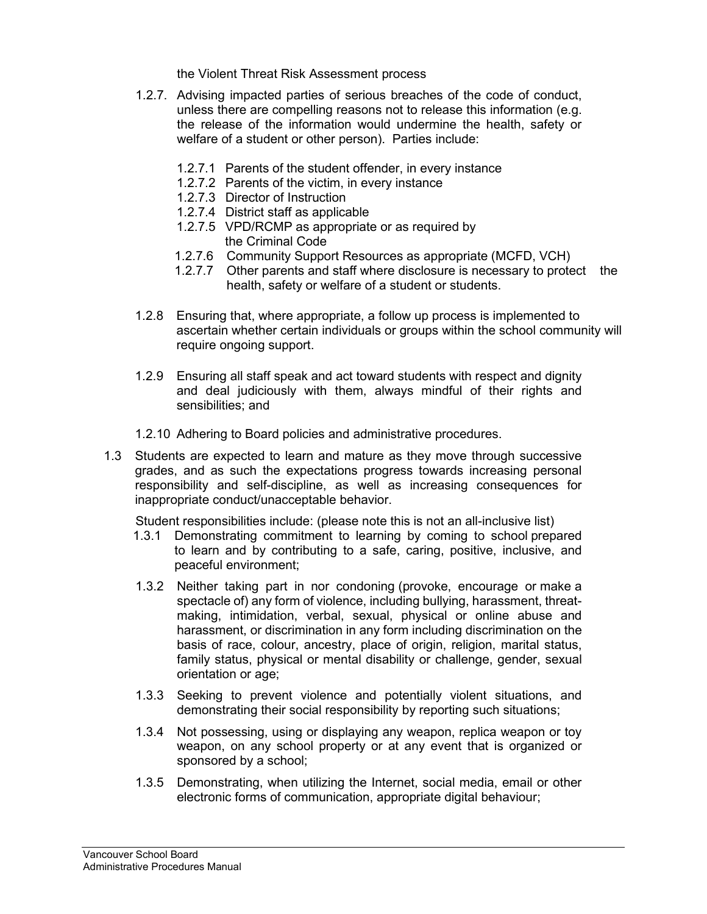the Violent Threat Risk Assessment process

- 1.2.7. Advising impacted parties of serious breaches of the code of conduct, unless there are compelling reasons not to release this information (e.g. the release of the information would undermine the health, safety or welfare of a student or other person). Parties include:
	- 1.2.7.1 Parents of the student offender, in every instance
	- 1.2.7.2 Parents of the victim, in every instance
	- 1.2.7.3 Director of Instruction
	- 1.2.7.4 District staff as applicable
	- 1.2.7.5 VPD/RCMP as appropriate or as required by the Criminal Code
	- 1.2.7.6 Community Support Resources as appropriate (MCFD, VCH)
	- 1.2.7.7 Other parents and staff where disclosure is necessary to protect the health, safety or welfare of a student or students.
- 1.2.8 Ensuring that, where appropriate, a follow up process is implemented to ascertain whether certain individuals or groups within the school community will require ongoing support.
- 1.2.9 Ensuring all staff speak and act toward students with respect and dignity and deal judiciously with them, always mindful of their rights and sensibilities; and
- 1.2.10 Adhering to Board policies and administrative procedures.
- 1.3 Students are expected to learn and mature as they move through successive grades, and as such the expectations progress towards increasing personal responsibility and self-discipline, as well as increasing consequences for inappropriate conduct/unacceptable behavior.

Student responsibilities include: (please note this is not an all-inclusive list)

- 1.3.1 Demonstrating commitment to learning by coming to school prepared to learn and by contributing to a safe, caring, positive, inclusive, and peaceful environment;
- 1.3.2 Neither taking part in nor condoning (provoke, encourage or make a spectacle of) any form of violence, including bullying, harassment, threatmaking, intimidation, verbal, sexual, physical or online abuse and harassment, or discrimination in any form including discrimination on the basis of race, colour, ancestry, place of origin, religion, marital status, family status, physical or mental disability or challenge, gender, sexual orientation or age;
- 1.3.3 Seeking to prevent violence and potentially violent situations, and demonstrating their social responsibility by reporting such situations;
- 1.3.4 Not possessing, using or displaying any weapon, replica weapon or toy weapon, on any school property or at any event that is organized or sponsored by a school;
- 1.3.5 Demonstrating, when utilizing the Internet, social media, email or other electronic forms of communication, appropriate digital behaviour;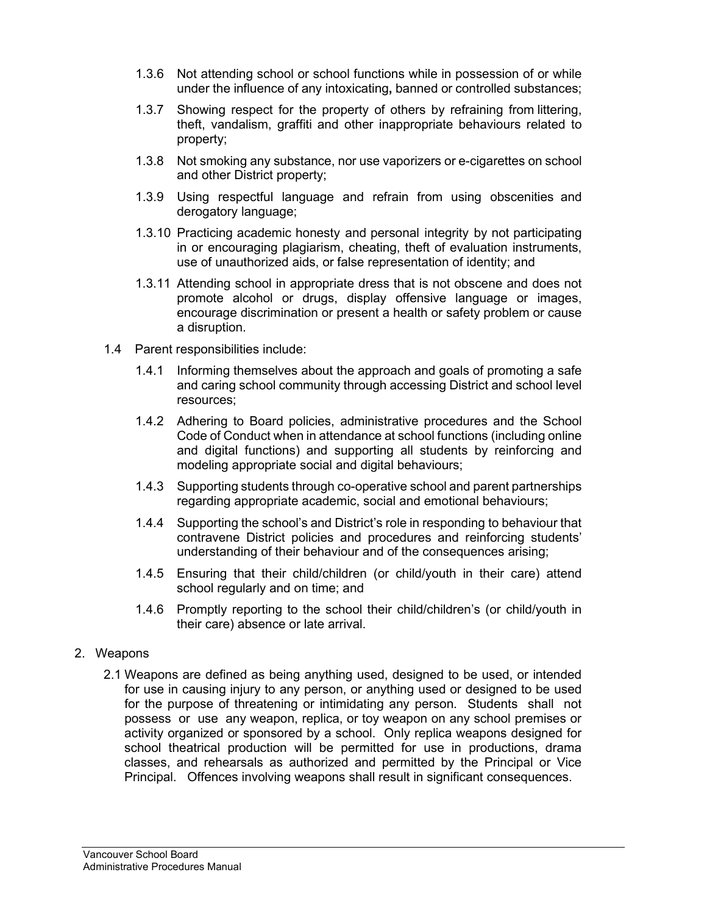- 1.3.6 Not attending school or school functions while in possession of or while under the influence of any intoxicating**,** banned or controlled substances;
- 1.3.7 Showing respect for the property of others by refraining from littering, theft, vandalism, graffiti and other inappropriate behaviours related to property;
- 1.3.8 Not smoking any substance, nor use vaporizers or e-cigarettes on school and other District property;
- 1.3.9 Using respectful language and refrain from using obscenities and derogatory language;
- 1.3.10 Practicing academic honesty and personal integrity by not participating in or encouraging plagiarism, cheating, theft of evaluation instruments, use of unauthorized aids, or false representation of identity; and
- 1.3.11 Attending school in appropriate dress that is not obscene and does not promote alcohol or drugs, display offensive language or images, encourage discrimination or present a health or safety problem or cause a disruption.
- 1.4 Parent responsibilities include:
	- 1.4.1 Informing themselves about the approach and goals of promoting a safe and caring school community through accessing District and school level resources;
	- 1.4.2 Adhering to Board policies, administrative procedures and the School Code of Conduct when in attendance at school functions (including online and digital functions) and supporting all students by reinforcing and modeling appropriate social and digital behaviours;
	- 1.4.3 Supporting students through co-operative school and parent partnerships regarding appropriate academic, social and emotional behaviours;
	- 1.4.4 Supporting the school's and District's role in responding to behaviour that contravene District policies and procedures and reinforcing students' understanding of their behaviour and of the consequences arising;
	- 1.4.5 Ensuring that their child/children (or child/youth in their care) attend school regularly and on time; and
	- 1.4.6 Promptly reporting to the school their child/children's (or child/youth in their care) absence or late arrival.
- 2. Weapons
	- 2.1 Weapons are defined as being anything used, designed to be used, or intended for use in causing injury to any person, or anything used or designed to be used for the purpose of threatening or intimidating any person. Students shall not possess or use any weapon, replica, or toy weapon on any school premises or activity organized or sponsored by a school. Only replica weapons designed for school theatrical production will be permitted for use in productions, drama classes, and rehearsals as authorized and permitted by the Principal or Vice Principal. Offences involving weapons shall result in significant consequences.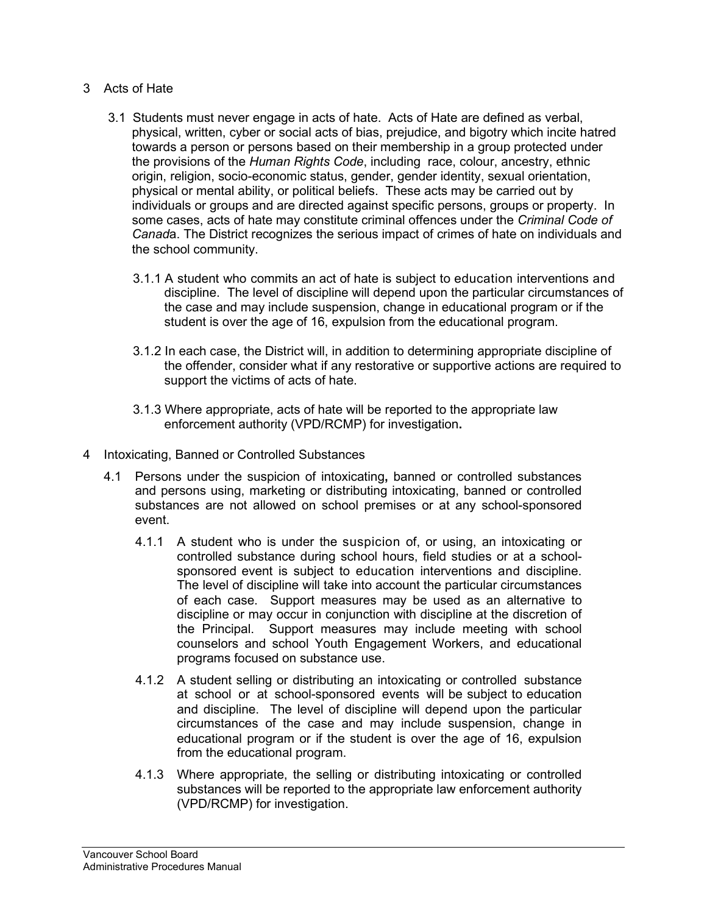- 3 Acts of Hate
	- 3.1 Students must never engage in acts of hate. Acts of Hate are defined as verbal, physical, written, cyber or social acts of bias, prejudice, and bigotry which incite hatred towards a person or persons based on their membership in a group protected under the provisions of the *Human Rights Code*, including race, colour, ancestry, ethnic origin, religion, socio-economic status, gender, gender identity, sexual orientation, physical or mental ability, or political beliefs. These acts may be carried out by individuals or groups and are directed against specific persons, groups or property. In some cases, acts of hate may constitute criminal offences under the *Criminal Code of Canad*a. The District recognizes the serious impact of crimes of hate on individuals and the school community.
		- 3.1.1 A student who commits an act of hate is subject to education interventions and discipline. The level of discipline will depend upon the particular circumstances of the case and may include suspension, change in educational program or if the student is over the age of 16, expulsion from the educational program.
		- 3.1.2 In each case, the District will, in addition to determining appropriate discipline of the offender, consider what if any restorative or supportive actions are required to support the victims of acts of hate.
		- 3.1.3 Where appropriate, acts of hate will be reported to the appropriate law enforcement authority (VPD/RCMP) for investigation**.**
- 4 Intoxicating, Banned or Controlled Substances
	- 4.1 Persons under the suspicion of intoxicating**,** banned or controlled substances and persons using, marketing or distributing intoxicating, banned or controlled substances are not allowed on school premises or at any school-sponsored event.
		- 4.1.1 A student who is under the suspicion of, or using, an intoxicating or controlled substance during school hours, field studies or at a schoolsponsored event is subject to education interventions and discipline. The level of discipline will take into account the particular circumstances of each case. Support measures may be used as an alternative to discipline or may occur in conjunction with discipline at the discretion of the Principal. Support measures may include meeting with school counselors and school Youth Engagement Workers, and educational programs focused on substance use.
		- 4.1.2 A student selling or distributing an intoxicating or controlled substance at school or at school-sponsored events will be subject to education and discipline. The level of discipline will depend upon the particular circumstances of the case and may include suspension, change in educational program or if the student is over the age of 16, expulsion from the educational program.
		- 4.1.3 Where appropriate, the selling or distributing intoxicating or controlled substances will be reported to the appropriate law enforcement authority (VPD/RCMP) for investigation.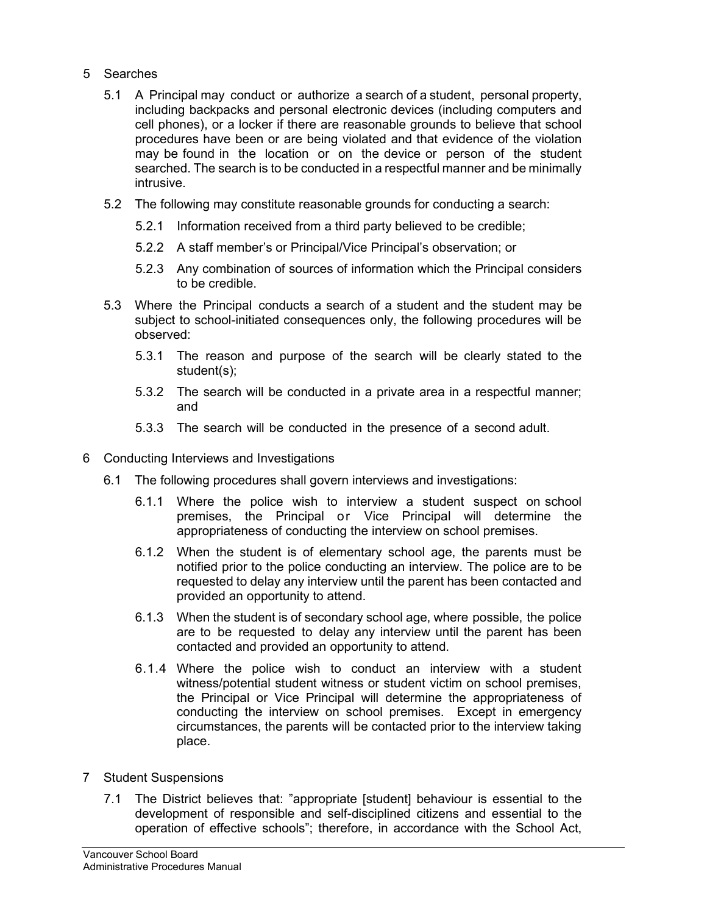- 5 Searches
	- 5.1 A Principal may conduct or authorize a search of a student, personal property, including backpacks and personal electronic devices (including computers and cell phones), or a locker if there are reasonable grounds to believe that school procedures have been or are being violated and that evidence of the violation may be found in the location or on the device or person of the student searched. The search is to be conducted in a respectful manner and be minimally intrusive.
	- 5.2 The following may constitute reasonable grounds for conducting a search:
		- 5.2.1 Information received from a third party believed to be credible;
		- 5.2.2 A staff member's or Principal/Vice Principal's observation; or
		- 5.2.3 Any combination of sources of information which the Principal considers to be credible.
	- 5.3 Where the Principal conducts a search of a student and the student may be subject to school-initiated consequences only, the following procedures will be observed:
		- 5.3.1 The reason and purpose of the search will be clearly stated to the student(s);
		- 5.3.2 The search will be conducted in a private area in a respectful manner; and
		- 5.3.3 The search will be conducted in the presence of a second adult.
- 6 Conducting Interviews and Investigations
	- 6.1 The following procedures shall govern interviews and investigations:
		- 6.1.1 Where the police wish to interview a student suspect on school premises, the Principal or Vice Principal will determine the appropriateness of conducting the interview on school premises.
		- 6.1.2 When the student is of elementary school age, the parents must be notified prior to the police conducting an interview. The police are to be requested to delay any interview until the parent has been contacted and provided an opportunity to attend.
		- 6.1.3 When the student is of secondary school age, where possible, the police are to be requested to delay any interview until the parent has been contacted and provided an opportunity to attend.
		- 6.1.4 Where the police wish to conduct an interview with a student witness/potential student witness or student victim on school premises, the Principal or Vice Principal will determine the appropriateness of conducting the interview on school premises. Except in emergency circumstances, the parents will be contacted prior to the interview taking place.
- 7 Student Suspensions
	- 7.1 The District believes that: "appropriate [student] behaviour is essential to the development of responsible and self-disciplined citizens and essential to the operation of effective schools"; therefore, in accordance with the School Act,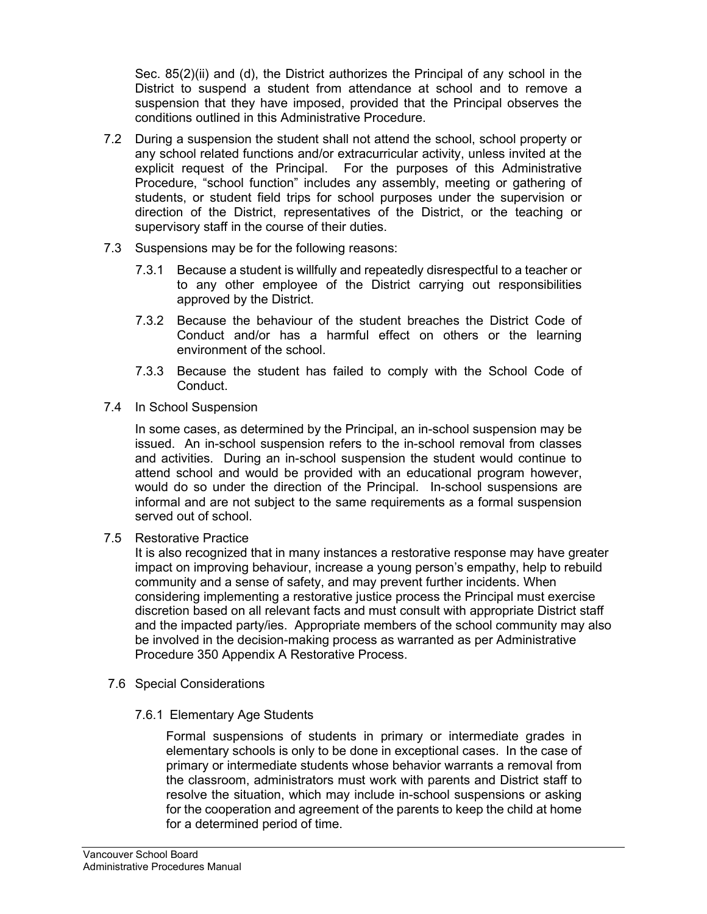Sec. 85(2)(ii) and (d), the District authorizes the Principal of any school in the District to suspend a student from attendance at school and to remove a suspension that they have imposed, provided that the Principal observes the conditions outlined in this Administrative Procedure.

- 7.2 During a suspension the student shall not attend the school, school property or any school related functions and/or extracurricular activity, unless invited at the explicit request of the Principal. For the purposes of this Administrative Procedure, "school function" includes any assembly, meeting or gathering of students, or student field trips for school purposes under the supervision or direction of the District, representatives of the District, or the teaching or supervisory staff in the course of their duties.
- 7.3 Suspensions may be for the following reasons:
	- 7.3.1 Because a student is willfully and repeatedly disrespectful to a teacher or to any other employee of the District carrying out responsibilities approved by the District.
	- 7.3.2 Because the behaviour of the student breaches the District Code of Conduct and/or has a harmful effect on others or the learning environment of the school.
	- 7.3.3 Because the student has failed to comply with the School Code of Conduct.
- 7.4 In School Suspension

In some cases, as determined by the Principal, an in-school suspension may be issued. An in-school suspension refers to the in-school removal from classes and activities. During an in-school suspension the student would continue to attend school and would be provided with an educational program however, would do so under the direction of the Principal. In-school suspensions are informal and are not subject to the same requirements as a formal suspension served out of school.

7.5 Restorative Practice

It is also recognized that in many instances a restorative response may have greater impact on improving behaviour, increase a young person's empathy, help to rebuild community and a sense of safety, and may prevent further incidents. When considering implementing a restorative justice process the Principal must exercise discretion based on all relevant facts and must consult with appropriate District staff and the impacted party/ies. Appropriate members of the school community may also be involved in the decision-making process as warranted as per Administrative Procedure 350 Appendix A Restorative Process.

- 7.6 Special Considerations
	- 7.6.1 Elementary Age Students

Formal suspensions of students in primary or intermediate grades in elementary schools is only to be done in exceptional cases. In the case of primary or intermediate students whose behavior warrants a removal from the classroom, administrators must work with parents and District staff to resolve the situation, which may include in-school suspensions or asking for the cooperation and agreement of the parents to keep the child at home for a determined period of time.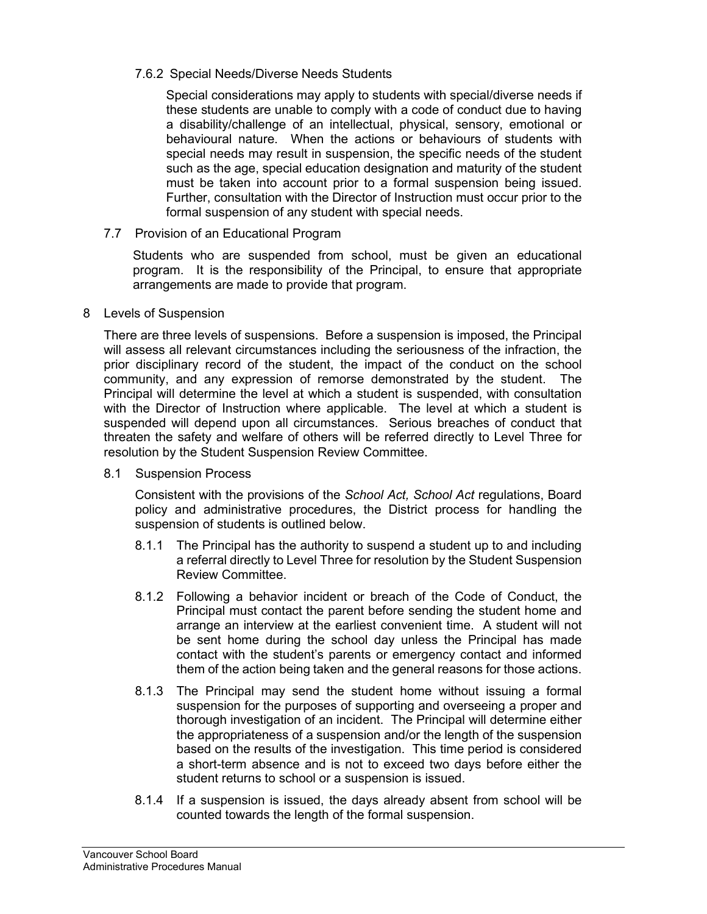### 7.6.2 Special Needs/Diverse Needs Students

Special considerations may apply to students with special/diverse needs if these students are unable to comply with a code of conduct due to having a disability/challenge of an intellectual, physical, sensory, emotional or behavioural nature. When the actions or behaviours of students with special needs may result in suspension, the specific needs of the student such as the age, special education designation and maturity of the student must be taken into account prior to a formal suspension being issued. Further, consultation with the Director of Instruction must occur prior to the formal suspension of any student with special needs.

### 7.7 Provision of an Educational Program

Students who are suspended from school, must be given an educational program. It is the responsibility of the Principal, to ensure that appropriate arrangements are made to provide that program.

#### 8 Levels of Suspension

There are three levels of suspensions. Before a suspension is imposed, the Principal will assess all relevant circumstances including the seriousness of the infraction, the prior disciplinary record of the student, the impact of the conduct on the school community, and any expression of remorse demonstrated by the student. The Principal will determine the level at which a student is suspended, with consultation with the Director of Instruction where applicable. The level at which a student is suspended will depend upon all circumstances. Serious breaches of conduct that threaten the safety and welfare of others will be referred directly to Level Three for resolution by the Student Suspension Review Committee.

8.1 Suspension Process

Consistent with the provisions of the *School Act, School Act* regulations, Board policy and administrative procedures, the District process for handling the suspension of students is outlined below.

- 8.1.1 The Principal has the authority to suspend a student up to and including a referral directly to Level Three for resolution by the Student Suspension Review Committee.
- 8.1.2 Following a behavior incident or breach of the Code of Conduct, the Principal must contact the parent before sending the student home and arrange an interview at the earliest convenient time. A student will not be sent home during the school day unless the Principal has made contact with the student's parents or emergency contact and informed them of the action being taken and the general reasons for those actions.
- 8.1.3 The Principal may send the student home without issuing a formal suspension for the purposes of supporting and overseeing a proper and thorough investigation of an incident. The Principal will determine either the appropriateness of a suspension and/or the length of the suspension based on the results of the investigation. This time period is considered a short-term absence and is not to exceed two days before either the student returns to school or a suspension is issued.
- 8.1.4 If a suspension is issued, the days already absent from school will be counted towards the length of the formal suspension.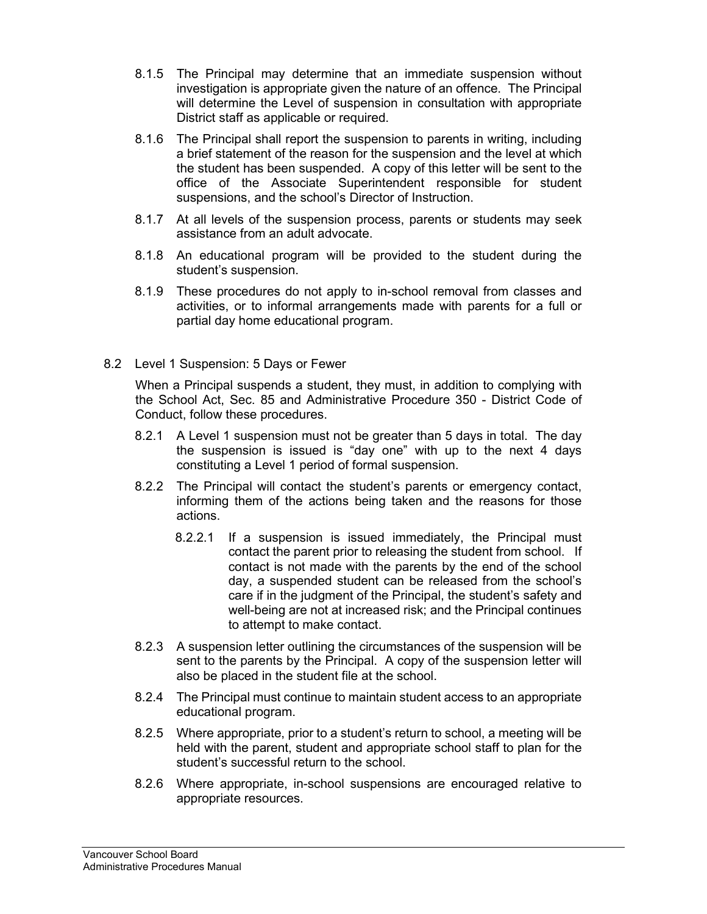- 8.1.5 The Principal may determine that an immediate suspension without investigation is appropriate given the nature of an offence. The Principal will determine the Level of suspension in consultation with appropriate District staff as applicable or required.
- 8.1.6 The Principal shall report the suspension to parents in writing, including a brief statement of the reason for the suspension and the level at which the student has been suspended. A copy of this letter will be sent to the office of the Associate Superintendent responsible for student suspensions, and the school's Director of Instruction.
- 8.1.7 At all levels of the suspension process, parents or students may seek assistance from an adult advocate.
- 8.1.8 An educational program will be provided to the student during the student's suspension.
- 8.1.9 These procedures do not apply to in-school removal from classes and activities, or to informal arrangements made with parents for a full or partial day home educational program.
- 8.2 Level 1 Suspension: 5 Days or Fewer

When a Principal suspends a student, they must, in addition to complying with the School Act, Sec. 85 and Administrative Procedure 350 - District Code of Conduct, follow these procedures.

- 8.2.1 A Level 1 suspension must not be greater than 5 days in total. The day the suspension is issued is "day one" with up to the next 4 days constituting a Level 1 period of formal suspension.
- 8.2.2 The Principal will contact the student's parents or emergency contact, informing them of the actions being taken and the reasons for those actions.
	- 8.2.2.1 If a suspension is issued immediately, the Principal must contact the parent prior to releasing the student from school. If contact is not made with the parents by the end of the school day, a suspended student can be released from the school's care if in the judgment of the Principal, the student's safety and well-being are not at increased risk; and the Principal continues to attempt to make contact.
- 8.2.3 A suspension letter outlining the circumstances of the suspension will be sent to the parents by the Principal. A copy of the suspension letter will also be placed in the student file at the school.
- 8.2.4 The Principal must continue to maintain student access to an appropriate educational program.
- 8.2.5 Where appropriate, prior to a student's return to school, a meeting will be held with the parent, student and appropriate school staff to plan for the student's successful return to the school.
- 8.2.6 Where appropriate, in-school suspensions are encouraged relative to appropriate resources.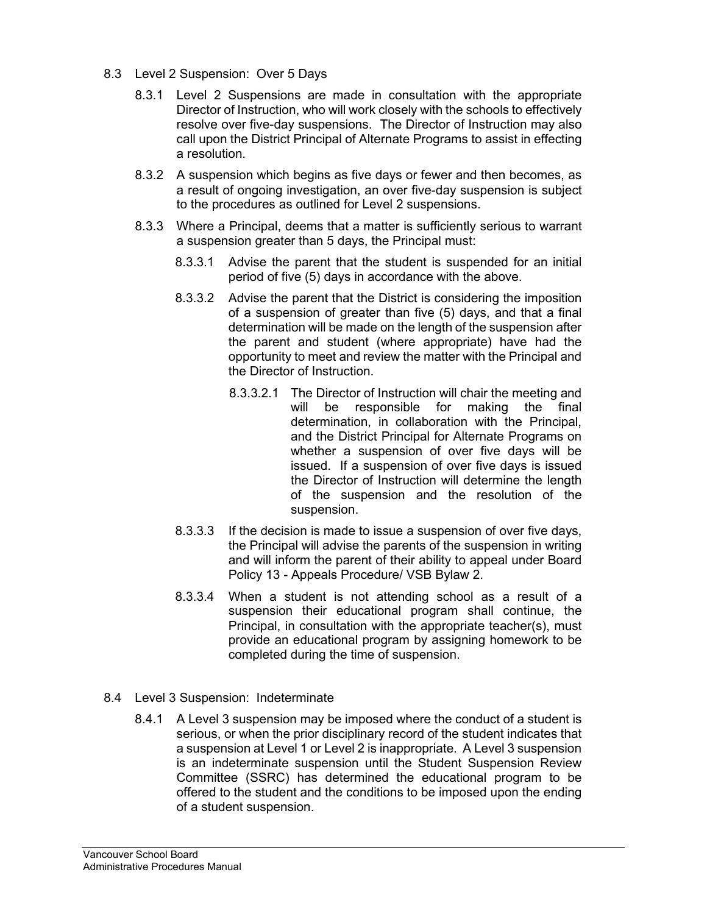- 8.3 Level 2 Suspension: Over 5 Days
	- 8.3.1 Level 2 Suspensions are made in consultation with the appropriate Director of Instruction, who will work closely with the schools to effectively resolve over five-day suspensions. The Director of Instruction may also call upon the District Principal of Alternate Programs to assist in effecting a resolution.
	- 8.3.2 A suspension which begins as five days or fewer and then becomes, as a result of ongoing investigation, an over five-day suspension is subject to the procedures as outlined for Level 2 suspensions.
	- 8.3.3 Where a Principal, deems that a matter is sufficiently serious to warrant a suspension greater than 5 days, the Principal must:
		- 8.3.3.1 Advise the parent that the student is suspended for an initial period of five (5) days in accordance with the above.
		- 8.3.3.2 Advise the parent that the District is considering the imposition of a suspension of greater than five (5) days, and that a final determination will be made on the length of the suspension after the parent and student (where appropriate) have had the opportunity to meet and review the matter with the Principal and the Director of Instruction.
			- 8.3.3.2.1 The Director of Instruction will chair the meeting and will be responsible for making the final determination, in collaboration with the Principal, and the District Principal for Alternate Programs on whether a suspension of over five days will be issued. If a suspension of over five days is issued the Director of Instruction will determine the length of the suspension and the resolution of the suspension.
		- 8.3.3.3 If the decision is made to issue a suspension of over five days, the Principal will advise the parents of the suspension in writing and will inform the parent of their ability to appeal under Board Policy 13 - Appeals Procedure/ VSB Bylaw 2.
		- 8.3.3.4 When a student is not attending school as a result of a suspension their educational program shall continue, the Principal, in consultation with the appropriate teacher(s), must provide an educational program by assigning homework to be completed during the time of suspension.
- 8.4 Level 3 Suspension: Indeterminate
	- 8.4.1 A Level 3 suspension may be imposed where the conduct of a student is serious, or when the prior disciplinary record of the student indicates that a suspension at Level 1 or Level 2 is inappropriate. A Level 3 suspension is an indeterminate suspension until the Student Suspension Review Committee (SSRC) has determined the educational program to be offered to the student and the conditions to be imposed upon the ending of a student suspension.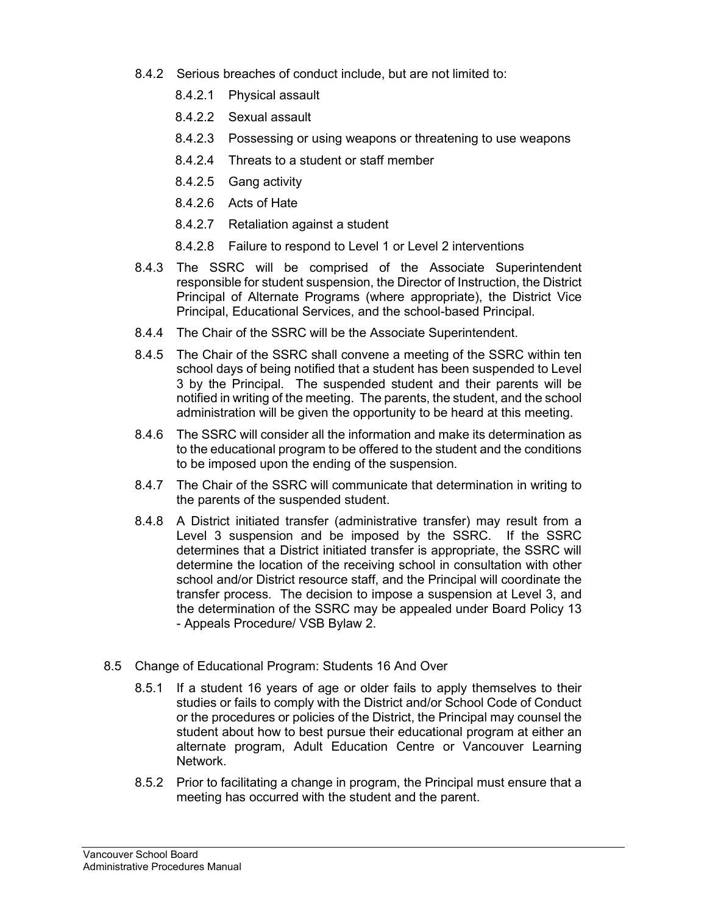- 8.4.2 Serious breaches of conduct include, but are not limited to:
	- 8.4.2.1 Physical assault
	- 8.4.2.2 Sexual assault
	- 8.4.2.3 Possessing or using weapons or threatening to use weapons
	- 8.4.2.4 Threats to a student or staff member
	- 8.4.2.5 Gang activity
	- 8.4.2.6 Acts of Hate
	- 8.4.2.7 Retaliation against a student
	- 8.4.2.8 Failure to respond to Level 1 or Level 2 interventions
- 8.4.3 The SSRC will be comprised of the Associate Superintendent responsible for student suspension, the Director of Instruction, the District Principal of Alternate Programs (where appropriate), the District Vice Principal, Educational Services, and the school-based Principal.
- 8.4.4 The Chair of the SSRC will be the Associate Superintendent.
- 8.4.5 The Chair of the SSRC shall convene a meeting of the SSRC within ten school days of being notified that a student has been suspended to Level 3 by the Principal. The suspended student and their parents will be notified in writing of the meeting. The parents, the student, and the school administration will be given the opportunity to be heard at this meeting.
- 8.4.6 The SSRC will consider all the information and make its determination as to the educational program to be offered to the student and the conditions to be imposed upon the ending of the suspension.
- 8.4.7 The Chair of the SSRC will communicate that determination in writing to the parents of the suspended student.
- 8.4.8 A District initiated transfer (administrative transfer) may result from a Level 3 suspension and be imposed by the SSRC. If the SSRC determines that a District initiated transfer is appropriate, the SSRC will determine the location of the receiving school in consultation with other school and/or District resource staff, and the Principal will coordinate the transfer process. The decision to impose a suspension at Level 3, and the determination of the SSRC may be appealed under Board Policy 13 - Appeals Procedure/ VSB Bylaw 2.
- 8.5 Change of Educational Program: Students 16 And Over
	- 8.5.1 If a student 16 years of age or older fails to apply themselves to their studies or fails to comply with the District and/or School Code of Conduct or the procedures or policies of the District, the Principal may counsel the student about how to best pursue their educational program at either an alternate program, Adult Education Centre or Vancouver Learning Network.
	- 8.5.2 Prior to facilitating a change in program, the Principal must ensure that a meeting has occurred with the student and the parent.